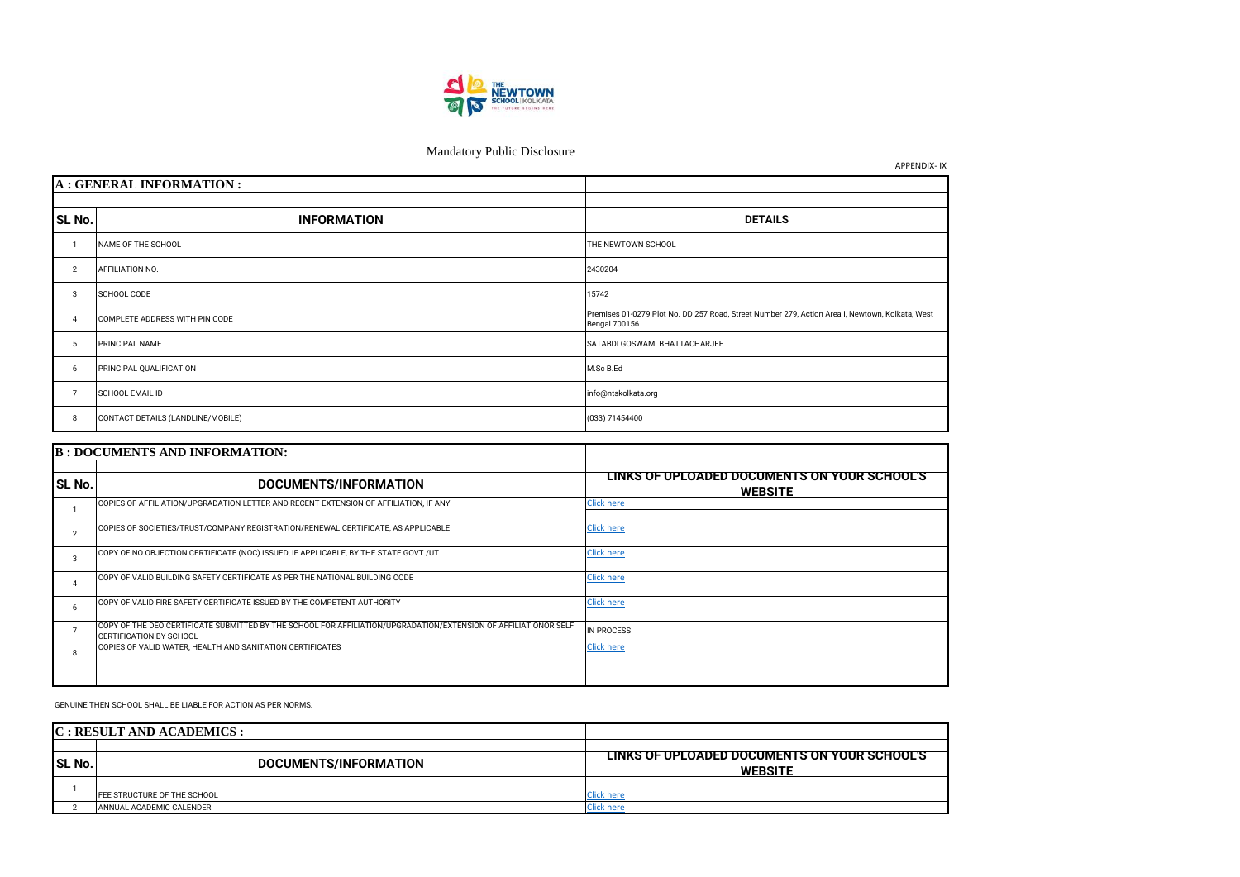| 1B : DOCUMENTS AND INFORMATION: |                                                                                                                                                   |                                                                |
|---------------------------------|---------------------------------------------------------------------------------------------------------------------------------------------------|----------------------------------------------------------------|
| <b>SL No.</b>                   | DOCUMENTS/INFORMATION                                                                                                                             | LINKS OF UPLOADED DOCUMENTS ON YOUR SCHOOL'S<br><b>WEBSITE</b> |
|                                 | COPIES OF AFFILIATION/UPGRADATION LETTER AND RECENT EXTENSION OF AFFILIATION, IF ANY                                                              | <b>Click here</b>                                              |
|                                 | COPIES OF SOCIETIES/TRUST/COMPANY REGISTRATION/RENEWAL CERTIFICATE, AS APPLICABLE                                                                 | <b>Click here</b>                                              |
| 3                               | COPY OF NO OBJECTION CERTIFICATE (NOC) ISSUED, IF APPLICABLE, BY THE STATE GOVT./UT                                                               | <b>Click here</b>                                              |
|                                 | COPY OF VALID BUILDING SAFETY CERTIFICATE AS PER THE NATIONAL BUILDING CODE                                                                       | <b>Click here</b>                                              |
| 6                               | COPY OF VALID FIRE SAFETY CERTIFICATE ISSUED BY THE COMPETENT AUTHORITY                                                                           | <b>Click here</b>                                              |
|                                 | COPY OF THE DEO CERTIFICATE SUBMITTED BY THE SCHOOL FOR AFFILIATION/UPGRADATION/EXTENSION OF AFFILIATIONOR SELF<br><b>CERTIFICATION BY SCHOOL</b> | <b>IN PROCESS</b>                                              |
| 8                               | COPIES OF VALID WATER, HEALTH AND SANITATION CERTIFICATES                                                                                         | <b>Click here</b>                                              |
|                                 |                                                                                                                                                   |                                                                |

|               | C: RESULT AND ACADEMICS:         |                                                                |
|---------------|----------------------------------|----------------------------------------------------------------|
|               |                                  |                                                                |
| <b>SL No.</b> | DOCUMENTS/INFORMATION            | LINKS OF UPLOADED DOCUMENTS ON YOUR SCHOOL'S<br><b>WEBSITE</b> |
|               | FEE STRUCTURE OF THE SCHOOL      | Click here                                                     |
|               | <b>JANNUAL ACADEMIC CALENDER</b> | Click here                                                     |





|                | A : GENERAL INFORMATION :         |                                                                                                                         |
|----------------|-----------------------------------|-------------------------------------------------------------------------------------------------------------------------|
|                |                                   |                                                                                                                         |
| <b>SL No.</b>  | <b>INFORMATION</b>                | <b>DETAILS</b>                                                                                                          |
|                | NAME OF THE SCHOOL                | THE NEWTOWN SCHOOL                                                                                                      |
| $\overline{2}$ | AFFILIATION NO.                   | 2430204                                                                                                                 |
| 3              | SCHOOL CODE                       | 15742                                                                                                                   |
| $\overline{4}$ | COMPLETE ADDRESS WITH PIN CODE    | Premises 01-0279 Plot No. DD 257 Road, Street Number 279, Action Area I, Newtown, Kolkata, West<br><b>Bengal 700156</b> |
| 5              | PRINCIPAL NAME                    | SATABDI GOSWAMI BHATTACHARJEE                                                                                           |
| 6              | PRINCIPAL QUALIFICATION           | M.Sc B.Ed                                                                                                               |
| $\overline{7}$ | SCHOOL EMAIL ID                   | info@ntskolkata.org                                                                                                     |
| 8              | CONTACT DETAILS (LANDLINE/MOBILE) | (033) 71454400                                                                                                          |
|                |                                   |                                                                                                                         |
|                | D. DOCUMENTS AND INFORMATION.     |                                                                                                                         |

GENUINE THEN SCHOOL SHALL BE LIABLE FOR ACTION AS PER NORMS.



## Mandatory Public Disclosure